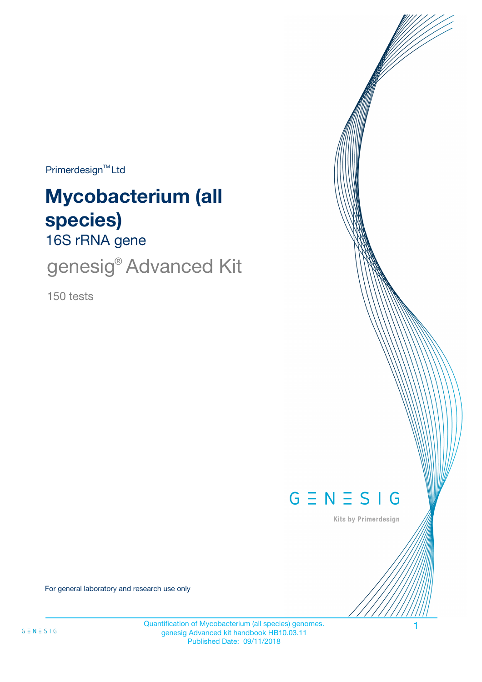$Primerdesign^{\text{TM}}$ Ltd

# 16S rRNA gene **Mycobacterium (all species)**

genesig<sup>®</sup> Advanced Kit

150 tests



Kits by Primerdesign

For general laboratory and research use only

Quantification of Mycobacterium (all species) genomes. 1 genesig Advanced kit handbook HB10.03.11 Published Date: 09/11/2018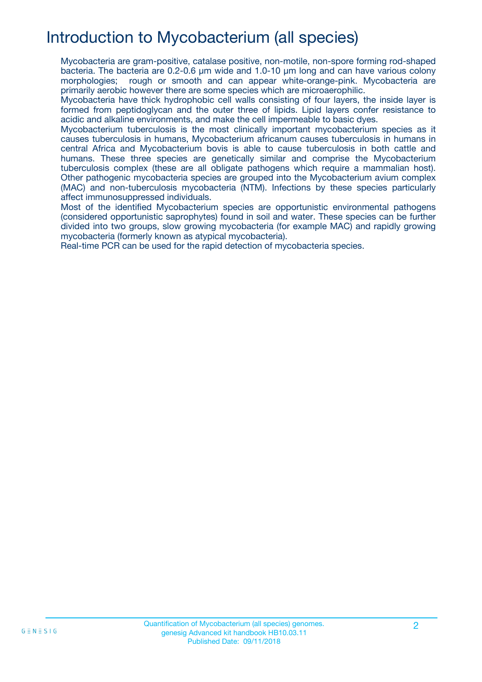## Introduction to Mycobacterium (all species)

Mycobacteria are gram-positive, catalase positive, non-motile, non-spore forming rod-shaped bacteria. The bacteria are 0.2-0.6 µm wide and 1.0-10 µm long and can have various colony morphologies; rough or smooth and can appear white-orange-pink. Mycobacteria are primarily aerobic however there are some species which are microaerophilic.

Mycobacteria have thick hydrophobic cell walls consisting of four layers, the inside layer is formed from peptidoglycan and the outer three of lipids. Lipid layers confer resistance to acidic and alkaline environments, and make the cell impermeable to basic dyes.

Mycobacterium tuberculosis is the most clinically important mycobacterium species as it causes tuberculosis in humans, Mycobacterium africanum causes tuberculosis in humans in central Africa and Mycobacterium bovis is able to cause tuberculosis in both cattle and humans. These three species are genetically similar and comprise the Mycobacterium tuberculosis complex (these are all obligate pathogens which require a mammalian host). Other pathogenic mycobacteria species are grouped into the Mycobacterium avium complex (MAC) and non-tuberculosis mycobacteria (NTM). Infections by these species particularly affect immunosuppressed individuals.

Most of the identified Mycobacterium species are opportunistic environmental pathogens (considered opportunistic saprophytes) found in soil and water. These species can be further divided into two groups, slow growing mycobacteria (for example MAC) and rapidly growing mycobacteria (formerly known as atypical mycobacteria).

Real-time PCR can be used for the rapid detection of mycobacteria species.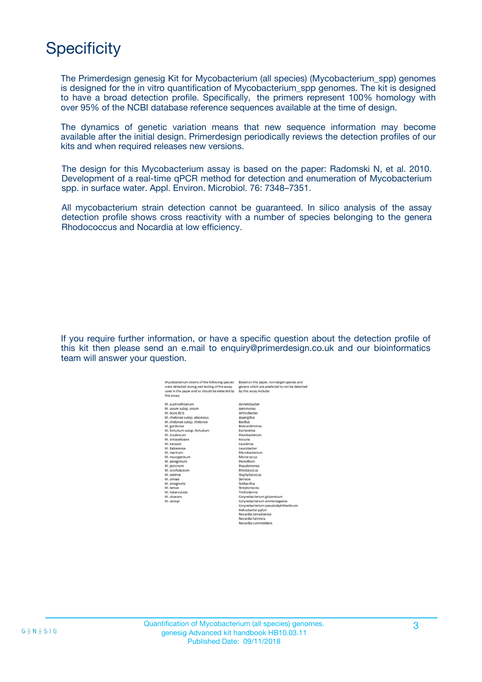## **Specificity**

The Primerdesign genesig Kit for Mycobacterium (all species) (Mycobacterium\_spp) genomes is designed for the in vitro quantification of Mycobacterium\_spp genomes. The kit is designed to have a broad detection profile. Specifically, the primers represent 100% homology with over 95% of the NCBI database reference sequences available at the time of design.

The dynamics of genetic variation means that new sequence information may become available after the initial design. Primerdesign periodically reviews the detection profiles of our kits and when required releases new versions.

The design for this Mycobacterium assay is based on the paper: Radomski N, et al. 2010. Development of a real-time qPCR method for detection and enumeration of Mycobacterium spp. in surface water. Appl. Environ. Microbiol. 76: 7348–7351.

All mycobacterium strain detection cannot be guaranteed. In silico analysis of the assay detection profile shows cross reactivity with a number of species belonging to the genera Rhodococcus and Nocardia at low efficiency.

If you require further information, or have a specific question about the detection profile of this kit then please send an e.mail to enquiry@primerdesign.co.uk and our bioinformatics team will answer your question.

ecies and<br>be detect

| lycobacterium strains of the following species<br>ere detected during wet testing of the assay | Based on the paper, non-target species<br>genera which are predicted to not be de |
|------------------------------------------------------------------------------------------------|-----------------------------------------------------------------------------------|
| sed in the paper and so should be detected by<br>is assay:                                     | by this assay include:                                                            |
| Laustroafricanum                                                                               | Acinetobacter                                                                     |
| 1. avium subsp. avium                                                                          | Aeromonas                                                                         |
| 1. boyis BCG                                                                                   | Arthrobacter                                                                      |
| 1. chelonae subsp. abscessus                                                                   | Aspergillus                                                                       |
| 1. chelonae subsp. chelonae                                                                    | <b>Bacillus</b>                                                                   |
| 1. gordonae                                                                                    | <b>Brevundimonas</b>                                                              |
| 1. fortuitum subsp. fortuitum                                                                  | Escherishia                                                                       |
| I. insubricum                                                                                  | Flavobacterium                                                                    |
| 1. intracellulare                                                                              | Kocuria                                                                           |
| I. kansasii                                                                                    | Leuclercia                                                                        |
| I. llatzerense                                                                                 | Leucobacter                                                                       |
| 1. marinum                                                                                     | Microbacterium                                                                    |
| 1. mucogenicum                                                                                 | Micrococcus                                                                       |
| 1. peregrinum                                                                                  | Penicillium                                                                       |
| 1. porcinum                                                                                    | Pseudomonas                                                                       |
| 1. scrofulaceum                                                                                | Rhodococcus                                                                       |
| I. setense                                                                                     | Staphylococcus                                                                    |
| I. simiae                                                                                      | Serracia                                                                          |
| 1. smegmatis                                                                                   | Solibacillus                                                                      |
| I. terrae                                                                                      | Streptomyces                                                                      |
| 1. tuberculosis                                                                                | Trichoderma                                                                       |
| 1. ulcerans                                                                                    | Corynebacterium glutamicum                                                        |
| 1. xenopi                                                                                      | Corynebacterium ammoniagenes                                                      |
|                                                                                                | Corynebacterium pseudodiphtheriticum                                              |
|                                                                                                | Helicobacter pylori                                                               |
|                                                                                                | Nocardia cerradoensis                                                             |
|                                                                                                | Nocardia farcinica                                                                |
|                                                                                                |                                                                                   |

locardia cummid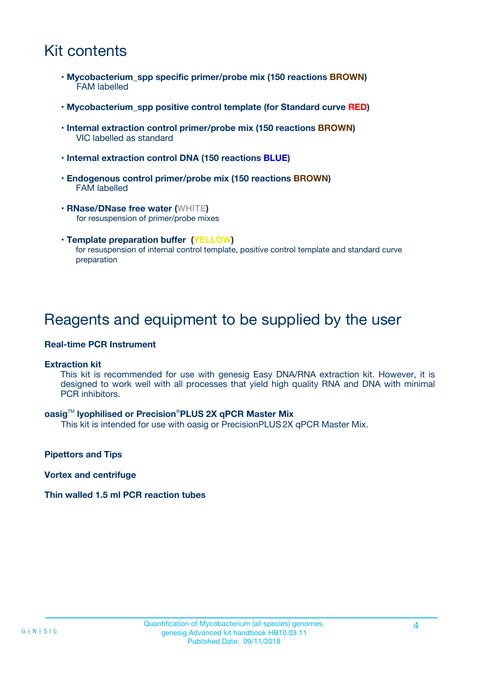## Kit contents

- **Mycobacterium\_spp specific primer/probe mix (150 reactions BROWN)** FAM labelled
- **Mycobacterium\_spp positive control template (for Standard curve RED)**
- **Internal extraction control primer/probe mix (150 reactions BROWN)** VIC labelled as standard
- **Internal extraction control DNA (150 reactions BLUE)**
- **Endogenous control primer/probe mix (150 reactions BROWN)** FAM labelled
- **RNase/DNase free water (WHITE)** for resuspension of primer/probe mixes
- **Template preparation buffer (YELLOW)** for resuspension of internal control template, positive control template and standard curve preparation

### Reagents and equipment to be supplied by the user

#### **Real-time PCR Instrument**

#### **Extraction kit**

This kit is recommended for use with genesig Easy DNA/RNA extraction kit. However, it is designed to work well with all processes that yield high quality RNA and DNA with minimal PCR inhibitors.

#### **oasig**TM **lyophilised or Precision**®**PLUS 2X qPCR Master Mix**

This kit is intended for use with oasig or PrecisionPLUS2X qPCR Master Mix.

**Pipettors and Tips**

**Vortex and centrifuge**

#### **Thin walled 1.5 ml PCR reaction tubes**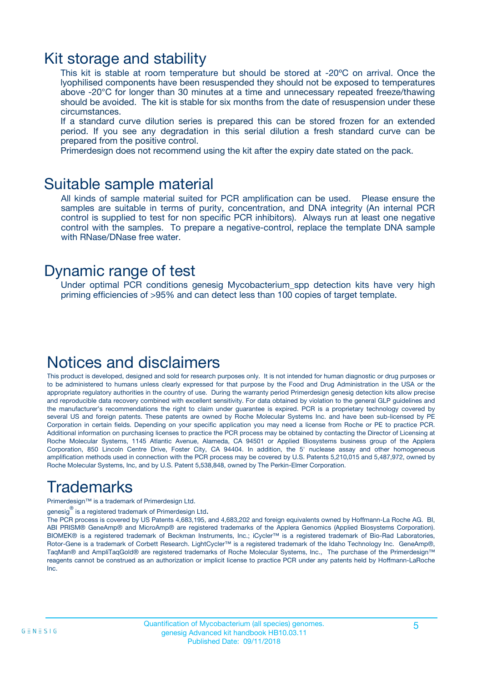### Kit storage and stability

This kit is stable at room temperature but should be stored at -20ºC on arrival. Once the lyophilised components have been resuspended they should not be exposed to temperatures above -20°C for longer than 30 minutes at a time and unnecessary repeated freeze/thawing should be avoided. The kit is stable for six months from the date of resuspension under these circumstances.

If a standard curve dilution series is prepared this can be stored frozen for an extended period. If you see any degradation in this serial dilution a fresh standard curve can be prepared from the positive control.

Primerdesign does not recommend using the kit after the expiry date stated on the pack.

### Suitable sample material

All kinds of sample material suited for PCR amplification can be used. Please ensure the samples are suitable in terms of purity, concentration, and DNA integrity (An internal PCR control is supplied to test for non specific PCR inhibitors). Always run at least one negative control with the samples. To prepare a negative-control, replace the template DNA sample with RNase/DNase free water.

### Dynamic range of test

Under optimal PCR conditions genesig Mycobacterium\_spp detection kits have very high priming efficiencies of >95% and can detect less than 100 copies of target template.

### Notices and disclaimers

This product is developed, designed and sold for research purposes only. It is not intended for human diagnostic or drug purposes or to be administered to humans unless clearly expressed for that purpose by the Food and Drug Administration in the USA or the appropriate regulatory authorities in the country of use. During the warranty period Primerdesign genesig detection kits allow precise and reproducible data recovery combined with excellent sensitivity. For data obtained by violation to the general GLP guidelines and the manufacturer's recommendations the right to claim under guarantee is expired. PCR is a proprietary technology covered by several US and foreign patents. These patents are owned by Roche Molecular Systems Inc. and have been sub-licensed by PE Corporation in certain fields. Depending on your specific application you may need a license from Roche or PE to practice PCR. Additional information on purchasing licenses to practice the PCR process may be obtained by contacting the Director of Licensing at Roche Molecular Systems, 1145 Atlantic Avenue, Alameda, CA 94501 or Applied Biosystems business group of the Applera Corporation, 850 Lincoln Centre Drive, Foster City, CA 94404. In addition, the 5' nuclease assay and other homogeneous amplification methods used in connection with the PCR process may be covered by U.S. Patents 5,210,015 and 5,487,972, owned by Roche Molecular Systems, Inc, and by U.S. Patent 5,538,848, owned by The Perkin-Elmer Corporation.

## Trademarks

Primerdesign™ is a trademark of Primerdesign Ltd.

genesig $^\circledR$  is a registered trademark of Primerdesign Ltd.

The PCR process is covered by US Patents 4,683,195, and 4,683,202 and foreign equivalents owned by Hoffmann-La Roche AG. BI, ABI PRISM® GeneAmp® and MicroAmp® are registered trademarks of the Applera Genomics (Applied Biosystems Corporation). BIOMEK® is a registered trademark of Beckman Instruments, Inc.; iCycler™ is a registered trademark of Bio-Rad Laboratories, Rotor-Gene is a trademark of Corbett Research. LightCycler™ is a registered trademark of the Idaho Technology Inc. GeneAmp®, TaqMan® and AmpliTaqGold® are registered trademarks of Roche Molecular Systems, Inc., The purchase of the Primerdesign™ reagents cannot be construed as an authorization or implicit license to practice PCR under any patents held by Hoffmann-LaRoche Inc.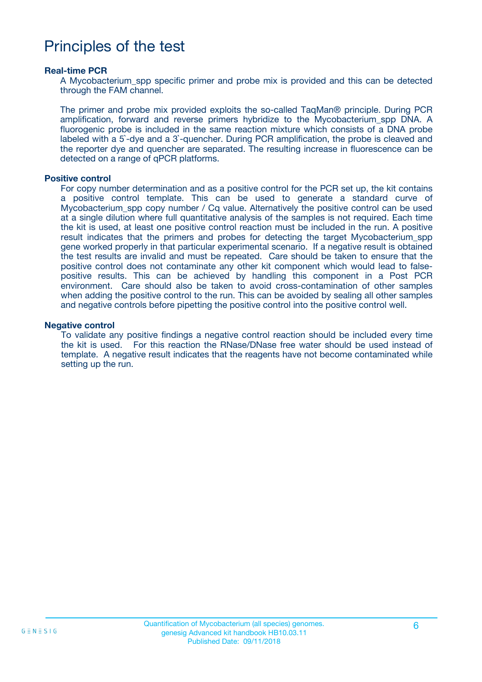## Principles of the test

#### **Real-time PCR**

A Mycobacterium\_spp specific primer and probe mix is provided and this can be detected through the FAM channel.

The primer and probe mix provided exploits the so-called TaqMan® principle. During PCR amplification, forward and reverse primers hybridize to the Mycobacterium\_spp DNA. A fluorogenic probe is included in the same reaction mixture which consists of a DNA probe labeled with a 5`-dye and a 3`-quencher. During PCR amplification, the probe is cleaved and the reporter dye and quencher are separated. The resulting increase in fluorescence can be detected on a range of qPCR platforms.

#### **Positive control**

For copy number determination and as a positive control for the PCR set up, the kit contains a positive control template. This can be used to generate a standard curve of Mycobacterium spp copy number / Cq value. Alternatively the positive control can be used at a single dilution where full quantitative analysis of the samples is not required. Each time the kit is used, at least one positive control reaction must be included in the run. A positive result indicates that the primers and probes for detecting the target Mycobacterium spp gene worked properly in that particular experimental scenario. If a negative result is obtained the test results are invalid and must be repeated. Care should be taken to ensure that the positive control does not contaminate any other kit component which would lead to falsepositive results. This can be achieved by handling this component in a Post PCR environment. Care should also be taken to avoid cross-contamination of other samples when adding the positive control to the run. This can be avoided by sealing all other samples and negative controls before pipetting the positive control into the positive control well.

#### **Negative control**

To validate any positive findings a negative control reaction should be included every time the kit is used. For this reaction the RNase/DNase free water should be used instead of template. A negative result indicates that the reagents have not become contaminated while setting up the run.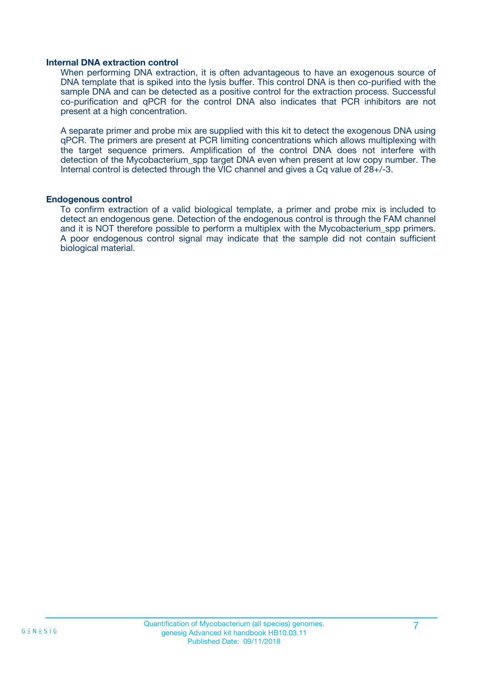#### **Internal DNA extraction control**

When performing DNA extraction, it is often advantageous to have an exogenous source of DNA template that is spiked into the lysis buffer. This control DNA is then co-purified with the sample DNA and can be detected as a positive control for the extraction process. Successful co-purification and qPCR for the control DNA also indicates that PCR inhibitors are not present at a high concentration.

A separate primer and probe mix are supplied with this kit to detect the exogenous DNA using qPCR. The primers are present at PCR limiting concentrations which allows multiplexing with the target sequence primers. Amplification of the control DNA does not interfere with detection of the Mycobacterium spp target DNA even when present at low copy number. The Internal control is detected through the VIC channel and gives a Cq value of 28+/-3.

#### **Endogenous control**

To confirm extraction of a valid biological template, a primer and probe mix is included to detect an endogenous gene. Detection of the endogenous control is through the FAM channel and it is NOT therefore possible to perform a multiplex with the Mycobacterium\_spp primers. A poor endogenous control signal may indicate that the sample did not contain sufficient biological material.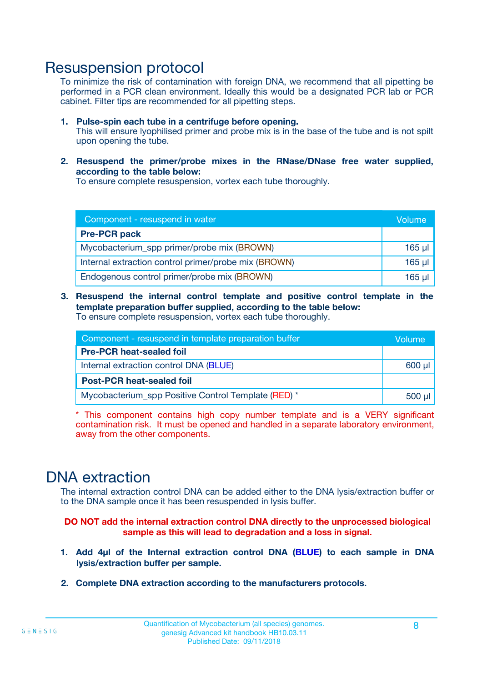### Resuspension protocol

To minimize the risk of contamination with foreign DNA, we recommend that all pipetting be performed in a PCR clean environment. Ideally this would be a designated PCR lab or PCR cabinet. Filter tips are recommended for all pipetting steps.

- **1. Pulse-spin each tube in a centrifuge before opening.** This will ensure lyophilised primer and probe mix is in the base of the tube and is not spilt upon opening the tube.
- **2. Resuspend the primer/probe mixes in the RNase/DNase free water supplied, according to the table below:**

To ensure complete resuspension, vortex each tube thoroughly.

| Component - resuspend in water                       |             |  |
|------------------------------------------------------|-------------|--|
| <b>Pre-PCR pack</b>                                  |             |  |
| Mycobacterium_spp primer/probe mix (BROWN)           | $165$ µl    |  |
| Internal extraction control primer/probe mix (BROWN) | $165$ $\mu$ |  |
| Endogenous control primer/probe mix (BROWN)          | $165$ µl    |  |

**3. Resuspend the internal control template and positive control template in the template preparation buffer supplied, according to the table below:** To ensure complete resuspension, vortex each tube thoroughly.

| Component - resuspend in template preparation buffer |  |  |
|------------------------------------------------------|--|--|
| <b>Pre-PCR heat-sealed foil</b>                      |  |  |
| Internal extraction control DNA (BLUE)               |  |  |
| <b>Post-PCR heat-sealed foil</b>                     |  |  |
| Mycobacterium_spp Positive Control Template (RED) *  |  |  |

\* This component contains high copy number template and is a VERY significant contamination risk. It must be opened and handled in a separate laboratory environment, away from the other components.

### DNA extraction

The internal extraction control DNA can be added either to the DNA lysis/extraction buffer or to the DNA sample once it has been resuspended in lysis buffer.

**DO NOT add the internal extraction control DNA directly to the unprocessed biological sample as this will lead to degradation and a loss in signal.**

- **1. Add 4µl of the Internal extraction control DNA (BLUE) to each sample in DNA lysis/extraction buffer per sample.**
- **2. Complete DNA extraction according to the manufacturers protocols.**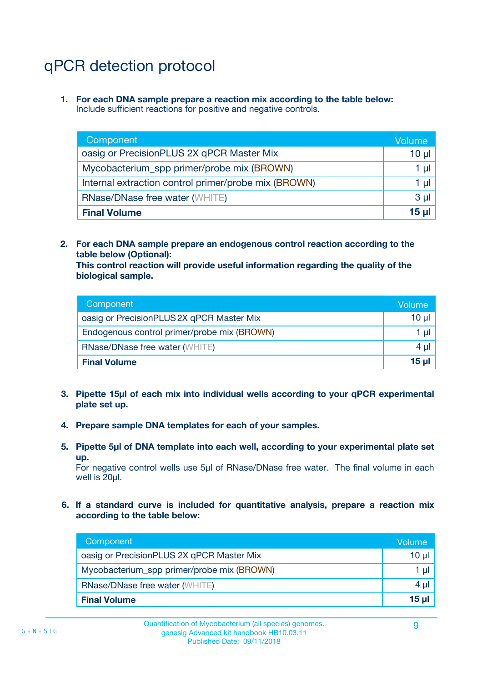## qPCR detection protocol

**1. For each DNA sample prepare a reaction mix according to the table below:** Include sufficient reactions for positive and negative controls.

| Component                                            | Volume   |
|------------------------------------------------------|----------|
| oasig or PrecisionPLUS 2X qPCR Master Mix            | 10 $\mu$ |
| Mycobacterium_spp primer/probe mix (BROWN)           | 1 µl     |
| Internal extraction control primer/probe mix (BROWN) |          |
| <b>RNase/DNase free water (WHITE)</b>                | $3 \mu$  |
| <b>Final Volume</b>                                  |          |

**2. For each DNA sample prepare an endogenous control reaction according to the table below (Optional):**

**This control reaction will provide useful information regarding the quality of the biological sample.**

| Component                                   | Volume   |
|---------------------------------------------|----------|
| oasig or PrecisionPLUS 2X qPCR Master Mix   | $10 \mu$ |
| Endogenous control primer/probe mix (BROWN) | 1 µI     |
| <b>RNase/DNase free water (WHITE)</b>       | $4 \mu$  |
| <b>Final Volume</b>                         | 15 µl    |

- **3. Pipette 15µl of each mix into individual wells according to your qPCR experimental plate set up.**
- **4. Prepare sample DNA templates for each of your samples.**
- **5. Pipette 5µl of DNA template into each well, according to your experimental plate set up.**

For negative control wells use 5µl of RNase/DNase free water. The final volume in each well is 20ul.

**6. If a standard curve is included for quantitative analysis, prepare a reaction mix according to the table below:**

| Component                                  | Volume          |
|--------------------------------------------|-----------------|
| oasig or PrecisionPLUS 2X qPCR Master Mix  | 10 $\mu$        |
| Mycobacterium_spp primer/probe mix (BROWN) | 1 µl            |
| <b>RNase/DNase free water (WHITE)</b>      | $4 \mu$         |
| <b>Final Volume</b>                        | 15 <sub>µ</sub> |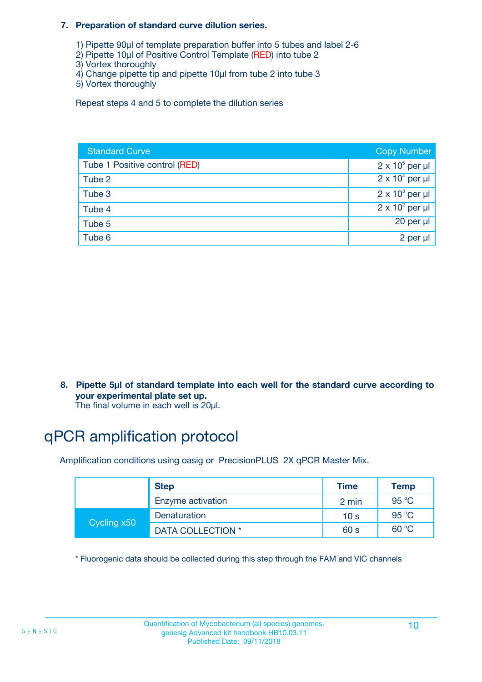#### **7. Preparation of standard curve dilution series.**

- 1) Pipette 90µl of template preparation buffer into 5 tubes and label 2-6
- 2) Pipette 10µl of Positive Control Template (RED) into tube 2
- 3) Vortex thoroughly
- 4) Change pipette tip and pipette 10µl from tube 2 into tube 3
- 5) Vortex thoroughly

Repeat steps 4 and 5 to complete the dilution series

| <b>Standard Curve</b>         | <b>Copy Number</b>     |
|-------------------------------|------------------------|
| Tube 1 Positive control (RED) | $2 \times 10^5$ per µl |
| Tube 2                        | $2 \times 10^4$ per µl |
| Tube 3                        | $2 \times 10^3$ per µl |
| Tube 4                        | $2 \times 10^2$ per µl |
| Tube 5                        | 20 per µl              |
| Tube 6                        | 2 per µl               |

**8. Pipette 5µl of standard template into each well for the standard curve according to your experimental plate set up.**

#### The final volume in each well is 20µl.

## qPCR amplification protocol

Amplification conditions using oasig or PrecisionPLUS 2X qPCR Master Mix.

|             | <b>Step</b>       | <b>Time</b>     | Temp    |
|-------------|-------------------|-----------------|---------|
|             | Enzyme activation | 2 min           | 95 °C   |
| Cycling x50 | Denaturation      | 10 <sub>s</sub> | 95 $°C$ |
|             | DATA COLLECTION * | 60 s            | 60 °C   |

\* Fluorogenic data should be collected during this step through the FAM and VIC channels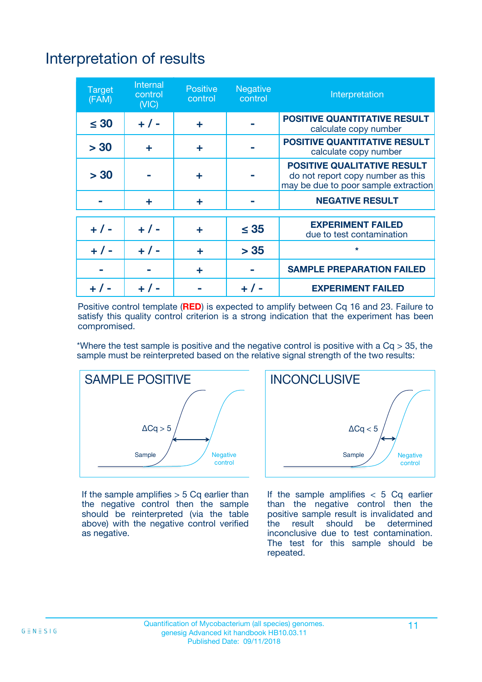# Interpretation of results

| <b>Target</b><br>(FAM) | <b>Internal</b><br>control<br>(NIC) | <b>Positive</b><br>control | <b>Negative</b><br>control | Interpretation                                                                                                  |
|------------------------|-------------------------------------|----------------------------|----------------------------|-----------------------------------------------------------------------------------------------------------------|
| $\leq 30$              | $+ 1 -$                             | ÷                          |                            | <b>POSITIVE QUANTITATIVE RESULT</b><br>calculate copy number                                                    |
| > 30                   | ٠                                   | ÷                          |                            | <b>POSITIVE QUANTITATIVE RESULT</b><br>calculate copy number                                                    |
| > 30                   |                                     | ÷                          |                            | <b>POSITIVE QUALITATIVE RESULT</b><br>do not report copy number as this<br>may be due to poor sample extraction |
|                        | ÷                                   | ÷                          |                            | <b>NEGATIVE RESULT</b>                                                                                          |
| $+ 1 -$                | $+ 1 -$                             | ÷                          | $\leq$ 35                  | <b>EXPERIMENT FAILED</b><br>due to test contamination                                                           |
| $+$ / -                | $+ 1 -$                             | ÷                          | > 35                       | $\star$                                                                                                         |
|                        |                                     | ÷                          |                            | <b>SAMPLE PREPARATION FAILED</b>                                                                                |
|                        |                                     |                            | $+$ /                      | <b>EXPERIMENT FAILED</b>                                                                                        |

Positive control template (**RED**) is expected to amplify between Cq 16 and 23. Failure to satisfy this quality control criterion is a strong indication that the experiment has been compromised.

\*Where the test sample is positive and the negative control is positive with a  $Ca > 35$ , the sample must be reinterpreted based on the relative signal strength of the two results:



If the sample amplifies  $> 5$  Cq earlier than the negative control then the sample should be reinterpreted (via the table above) with the negative control verified as negative.



If the sample amplifies  $< 5$  Cq earlier than the negative control then the positive sample result is invalidated and<br>the result should be determined  $the$  result should be inconclusive due to test contamination. The test for this sample should be repeated.